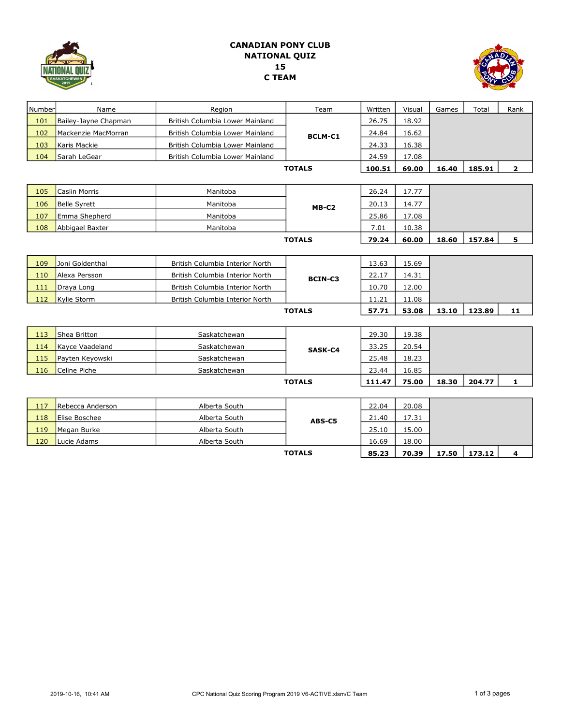

## CANADIAN PONY CLUB NATIONAL QUIZ 15 C TEAM



| Number        | Name                 | Region                          | Team           | Written | Visual | Games | Total  | Rank         |
|---------------|----------------------|---------------------------------|----------------|---------|--------|-------|--------|--------------|
| 101           | Bailey-Jayne Chapman | British Columbia Lower Mainland | <b>BCLM-C1</b> | 26.75   | 18.92  |       |        |              |
| 102           | Mackenzie MacMorran  | British Columbia Lower Mainland |                | 24.84   | 16.62  |       |        |              |
| 103           | Karis Mackie         | British Columbia Lower Mainland |                | 24.33   | 16.38  |       |        |              |
| 104           | Sarah LeGear         | British Columbia Lower Mainland |                | 24.59   | 17.08  |       |        |              |
|               |                      |                                 | <b>TOTALS</b>  | 100.51  | 69.00  | 16.40 | 185.91 | $\mathbf{2}$ |
|               |                      |                                 |                |         |        |       |        |              |
| 105           | Caslin Morris        | Manitoba                        |                | 26.24   | 17.77  |       |        |              |
| 106           | <b>Belle Syrett</b>  | Manitoba                        | MB-C2          | 20.13   | 14.77  |       |        |              |
| 107           | Emma Shepherd        | Manitoba                        |                | 25.86   | 17.08  |       |        |              |
| 108           | Abbigael Baxter      | Manitoba                        |                | 7.01    | 10.38  |       |        |              |
| <b>TOTALS</b> |                      |                                 |                | 79.24   | 60.00  | 18.60 | 157.84 | 5            |
|               |                      |                                 |                |         |        |       |        |              |
| 109           | Joni Goldenthal      | British Columbia Interior North |                | 13.63   | 15.69  |       |        |              |
| 110           | Alexa Persson        | British Columbia Interior North | <b>BCIN-C3</b> | 22.17   | 14.31  |       |        |              |
| 111           | Draya Long           | British Columbia Interior North |                | 10.70   | 12.00  |       |        |              |
| 112           | Kylie Storm          | British Columbia Interior North |                | 11.21   | 11.08  |       |        |              |
|               | <b>TOTALS</b>        |                                 |                | 57.71   | 53.08  | 13.10 | 123.89 | 11           |
|               |                      |                                 |                |         |        |       |        |              |
| 113           | Shea Britton         | Saskatchewan                    |                | 29.30   | 19.38  |       |        |              |
| 114           | Kayce Vaadeland      | Saskatchewan                    | SASK-C4        | 33.25   | 20.54  |       |        |              |
| 115           | Payten Keyowski      | Saskatchewan                    |                | 25.48   | 18.23  |       |        |              |
| 116           | Celine Piche         | Saskatchewan                    |                | 23.44   | 16.85  |       |        |              |
|               |                      |                                 | <b>TOTALS</b>  | 111.47  | 75.00  | 18.30 | 204.77 | 1            |
|               |                      |                                 |                |         |        |       |        |              |
| 117           | Rebecca Anderson     | Alberta South                   | ABS-C5         | 22.04   | 20.08  |       |        |              |
| 118           | Elise Boschee        | Alberta South                   |                | 21.40   | 17.31  |       |        |              |
| 119           | Megan Burke          | Alberta South                   |                | 25.10   | 15.00  |       |        |              |
| 120           | Lucie Adams          | Alberta South                   |                | 16.69   | 18.00  |       |        |              |
|               |                      |                                 | <b>TOTALS</b>  | 85.23   | 70.39  | 17.50 | 173.12 | 4            |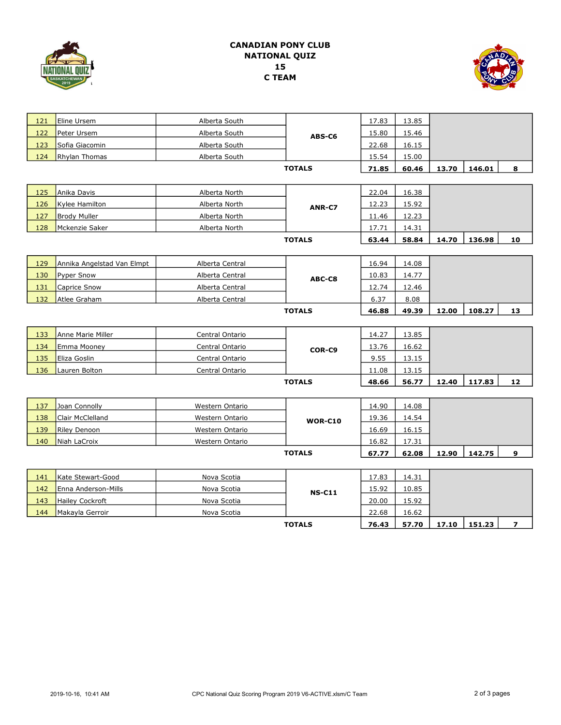

## CANADIAN PONY CLUB NATIONAL QUIZ 15 C TEAM



| 121 | Eline Ursem                | Alberta South   |                | 17.83 | 13.85 |       |        |    |
|-----|----------------------------|-----------------|----------------|-------|-------|-------|--------|----|
| 122 | Peter Ursem                | Alberta South   | ABS-C6         | 15.80 | 15.46 |       |        |    |
| 123 | Sofia Giacomin             | Alberta South   |                | 22.68 | 16.15 |       |        |    |
| 124 | <b>Rhylan Thomas</b>       | Alberta South   |                | 15.54 | 15.00 |       |        |    |
|     |                            |                 | <b>TOTALS</b>  | 71.85 | 60.46 | 13.70 | 146.01 | 8  |
|     |                            |                 |                |       |       |       |        |    |
| 125 | Anika Davis                | Alberta North   | ANR-C7         | 22.04 | 16.38 |       |        |    |
| 126 | Kylee Hamilton             | Alberta North   |                | 12.23 | 15.92 |       |        |    |
| 127 | <b>Brody Muller</b>        | Alberta North   |                | 11.46 | 12.23 |       |        |    |
| 128 | Mckenzie Saker             | Alberta North   |                | 17.71 | 14.31 |       |        |    |
|     |                            |                 | <b>TOTALS</b>  | 63.44 | 58.84 | 14.70 | 136.98 | 10 |
|     |                            |                 |                |       |       |       |        |    |
| 129 | Annika Angelstad Van Elmpt | Alberta Central |                | 16.94 | 14.08 |       |        |    |
| 130 | <b>Pyper Snow</b>          | Alberta Central | ABC-C8         | 10.83 | 14.77 |       |        |    |
| 131 | Caprice Snow               | Alberta Central |                | 12.74 | 12.46 |       |        |    |
| 132 | Atlee Graham               | Alberta Central |                | 6.37  | 8.08  |       |        |    |
|     |                            |                 | <b>TOTALS</b>  | 46.88 | 49.39 | 12.00 | 108.27 | 13 |
|     |                            |                 |                |       |       |       |        |    |
| 133 | Anne Marie Miller          | Central Ontario |                | 14.27 | 13.85 |       |        |    |
| 134 | Emma Mooney                | Central Ontario | COR-C9         | 13.76 | 16.62 |       |        |    |
| 135 | Eliza Goslin               | Central Ontario |                | 9.55  | 13.15 |       |        |    |
| 136 | Lauren Bolton              | Central Ontario |                | 11.08 | 13.15 |       |        |    |
|     |                            |                 | <b>TOTALS</b>  | 48.66 | 56.77 | 12.40 | 117.83 | 12 |
|     |                            |                 |                |       |       |       |        |    |
| 137 | Joan Connolly              | Western Ontario |                | 14.90 | 14.08 |       |        |    |
| 138 | Clair McClelland           | Western Ontario | <b>WOR-C10</b> | 19.36 | 14.54 |       |        |    |
| 139 | Riley Denoon               | Western Ontario |                | 16.69 | 16.15 |       |        |    |
| 140 | Niah LaCroix               | Western Ontario |                | 16.82 | 17.31 |       |        |    |
|     |                            |                 | <b>TOTALS</b>  | 67.77 | 62.08 | 12.90 | 142.75 | 9  |
|     |                            |                 |                |       |       |       |        |    |
|     |                            |                 |                |       |       |       |        |    |
| 141 | Kate Stewart-Good          | Nova Scotia     |                | 17.83 | 14.31 |       |        |    |
| 142 | Enna Anderson-Mills        | Nova Scotia     | <b>NS-C11</b>  | 15.92 | 10.85 |       |        |    |

TOTALS

144 Makayla Gerroir Nova Scotia 22.68 16.62

76.43 57.70 17.10 151.23 7